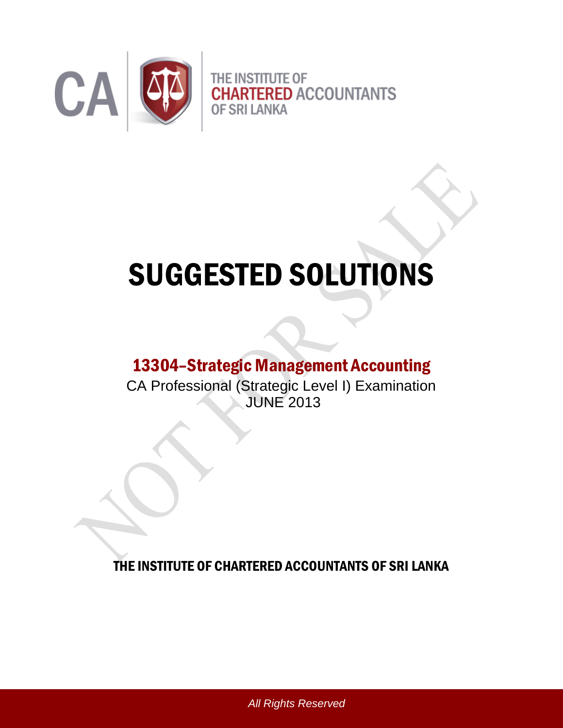

# SUGGESTED SOLUTIONS

# 13304–Strategic Management Accounting

CA Professional (Strategic Level I) Examination JUNE 2013

THE INSTITUTE OF CHARTERED ACCOUNTANTS OF SRI LANKA

*All Rights Reserved*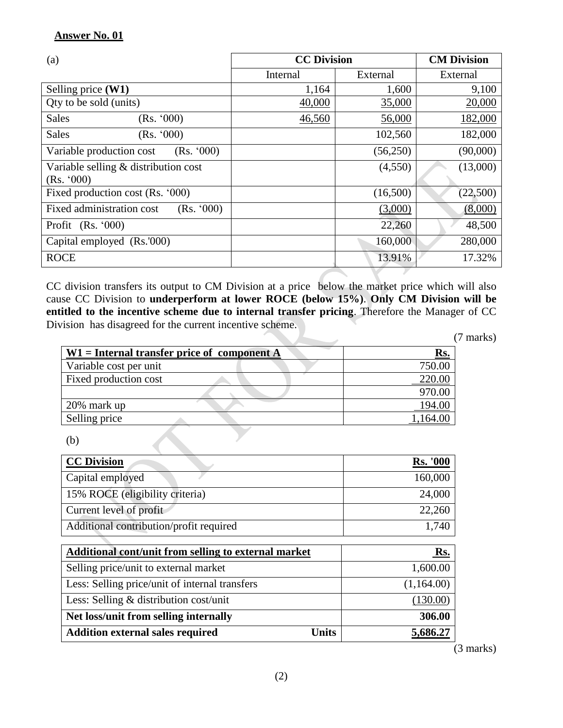| $\left( a\right)$                                  | <b>CC Division</b> | <b>CM Division</b> |          |
|----------------------------------------------------|--------------------|--------------------|----------|
|                                                    | Internal           | External           | External |
| Selling price (W1)                                 | 1,164              | 1,600              | 9,100    |
| Qty to be sold (units)                             | 40,000             | 35,000             | 20,000   |
| <b>Sales</b><br>(Rs. '000)                         | 46,560             | 56,000             | 182,000  |
| <b>Sales</b><br>(Rs. '000)                         |                    | 102,560            | 182,000  |
| Variable production cost<br>(Rs. '000)             |                    | (56,250)           | (90,000) |
| Variable selling & distribution cost<br>(Rs. '000) |                    | (4,550)            | (13,000) |
| Fixed production cost (Rs. '000)                   |                    | (16,500)           | (22,500) |
| Fixed administration cost<br>(Rs. '000)            |                    | (3,000)            | (8,000)  |
| Profit $(Rs. '000)$                                |                    | 22,260             | 48,500   |
| Capital employed (Rs.'000)                         |                    | 160,000            | 280,000  |
| <b>ROCE</b>                                        |                    | 13.91%             | 17.32%   |

CC division transfers its output to CM Division at a price below the market price which will also cause CC Division to **underperform at lower ROCE (below 15%)**. **Only CM Division will be entitled to the incentive scheme due to internal transfer pricing**. Therefore the Manager of CC Division has disagreed for the current incentive scheme.

(7 marks)

| $W1$ = Internal transfer price of component A | <u>Rs.</u> |  |  |
|-----------------------------------------------|------------|--|--|
| Variable cost per unit                        | 750.00     |  |  |
| Fixed production cost                         | 220.00     |  |  |
|                                               | 970.00     |  |  |
| 20% mark up                                   | 194.00     |  |  |
| Selling price                                 |            |  |  |

(b)

| <b>CC Division</b>                      | <b>Rs. '000</b> |
|-----------------------------------------|-----------------|
| Capital employed                        | 160,000         |
| 15% ROCE (eligibility criteria)         | 24,000          |
| Current level of profit                 | 22,260          |
| Additional contribution/profit required | 1,740           |
|                                         |                 |

| Additional cont/unit from selling to external market    | Rs.        |
|---------------------------------------------------------|------------|
| Selling price/unit to external market                   | 1,600.00   |
| Less: Selling price/unit of internal transfers          | (1,164.00) |
| Less: Selling & distribution cost/unit                  | (130.00)   |
| Net loss/unit from selling internally                   | 306.00     |
| <b>Addition external sales required</b><br><b>Units</b> | 5,686.27   |

(3 marks)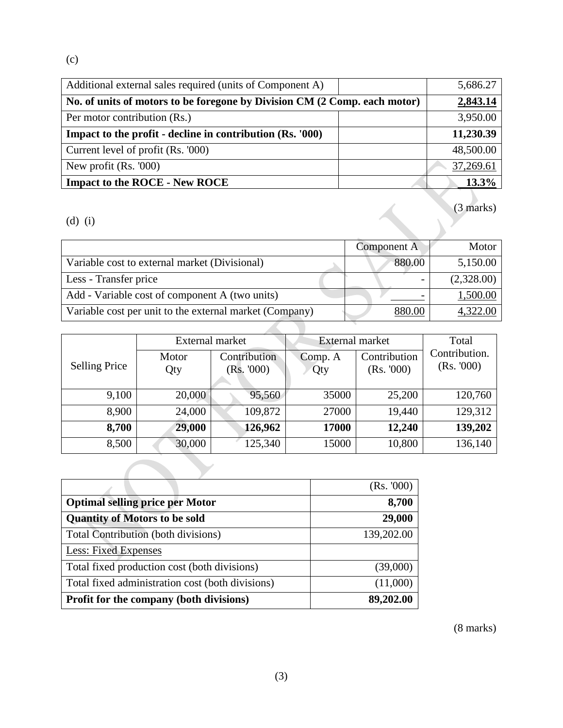(c)

| Additional external sales required (units of Component A)                 |          | 5,686.27            |
|---------------------------------------------------------------------------|----------|---------------------|
| No. of units of motors to be foregone by Division CM (2 Comp. each motor) | 2,843.14 |                     |
| Per motor contribution (Rs.)                                              |          | 3,950.00            |
| Impact to the profit - decline in contribution (Rs. '000)                 |          | 11,230.39           |
| Current level of profit (Rs. '000)                                        |          | 48,500.00           |
| New profit $(Rs. 000)$                                                    |          | 37,269.61           |
| <b>Impact to the ROCE - New ROCE</b>                                      |          | $13.3\%$            |
| $(d)$ $(1)$                                                               |          | $(3 \text{ marks})$ |

|                                                         | Component A | Motor      |
|---------------------------------------------------------|-------------|------------|
| Variable cost to external market (Divisional)           | 880.00      | 5,150.00   |
| Less - Transfer price                                   |             | (2,328.00) |
| Add - Variable cost of component A (two units)          |             | 1,500.00   |
| Variable cost per unit to the external market (Company) | 880.00      | 4,322.00   |

|                      | External market |                           | External market |                           | Total                      |
|----------------------|-----------------|---------------------------|-----------------|---------------------------|----------------------------|
| <b>Selling Price</b> | Motor<br>Qty    | Contribution<br>(Rs. 000) | Comp. A<br>Qty  | Contribution<br>(Rs. 000) | Contribution.<br>(Rs. 000) |
| 9,100                | 20,000          | 95,560                    | 35000           | 25,200                    | 120,760                    |
| 8,900                | 24,000          | 109,872                   | 27000           | 19,440                    | 129,312                    |
| 8,700                | 29,000          | 126,962                   | 17000           | 12,240                    | 139,202                    |
| 8,500                | 30,000          | 125,340                   | 15000           | 10,800                    | 136,140                    |

|                                                  | (Rs. 000)  |
|--------------------------------------------------|------------|
| <b>Optimal selling price per Motor</b>           | 8,700      |
| <b>Quantity of Motors to be sold</b>             | 29,000     |
| <b>Total Contribution (both divisions)</b>       | 139,202.00 |
| <b>Less: Fixed Expenses</b>                      |            |
| Total fixed production cost (both divisions)     | (39,000)   |
| Total fixed administration cost (both divisions) | (11,000)   |
| <b>Profit for the company (both divisions)</b>   | 89,202.00  |

(8 marks)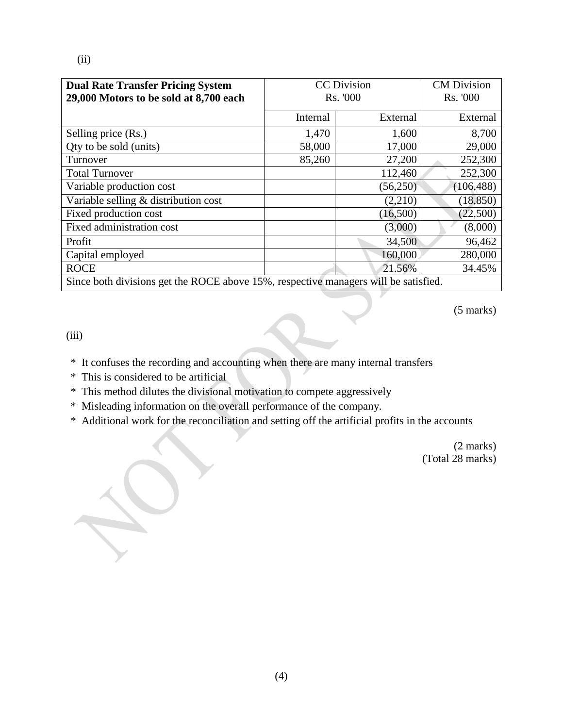| <b>Dual Rate Transfer Pricing System</b><br>29,000 Motors to be sold at 8,700 each  | <b>CC</b> Division<br>Rs. '000 |          | <b>CM</b> Division<br>Rs. '000 |  |
|-------------------------------------------------------------------------------------|--------------------------------|----------|--------------------------------|--|
|                                                                                     | Internal                       | External | External                       |  |
| Selling price (Rs.)                                                                 | 1,470                          | 1,600    | 8,700                          |  |
| Qty to be sold (units)                                                              | 58,000                         | 17,000   | 29,000                         |  |
| Turnover                                                                            | 85,260                         | 27,200   | 252,300                        |  |
| <b>Total Turnover</b>                                                               |                                | 112,460  | 252,300                        |  |
| Variable production cost                                                            |                                | (56,250) | (106, 488)                     |  |
| Variable selling & distribution cost                                                |                                | (2,210)  | (18, 850)                      |  |
| Fixed production cost                                                               |                                | (16,500) | (22,500)                       |  |
| Fixed administration cost                                                           |                                | (3,000)  | (8,000)                        |  |
| Profit                                                                              |                                | 34,500   | 96,462                         |  |
| Capital employed                                                                    |                                | 160,000  | 280,000                        |  |
| <b>ROCE</b>                                                                         |                                | 21.56%   | 34.45%                         |  |
| Since both divisions get the ROCE above 15%, respective managers will be satisfied. |                                |          |                                |  |

(5 marks)

(iii)

- \* It confuses the recording and accounting when there are many internal transfers
- \* This is considered to be artificial
- \* This method dilutes the divisional motivation to compete aggressively
- \* Misleading information on the overall performance of the company.
- \* Additional work for the reconciliation and setting off the artificial profits in the accounts

(2 marks) (Total 28 marks)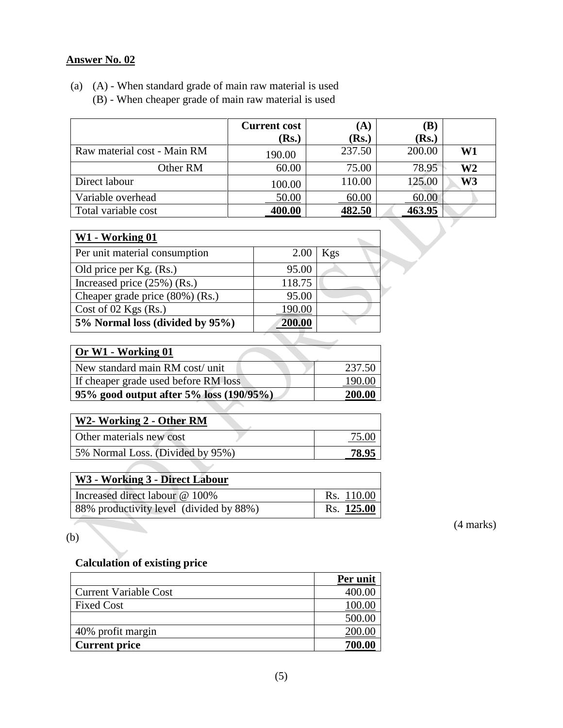#### **Answer No. 02**

|                             | <b>Current cost</b> | (A)            | $(\mathbf{B})$ |    |
|-----------------------------|---------------------|----------------|----------------|----|
|                             | (Rs.)               | ( <b>Rs.</b> ) | ( <b>Rs.</b> ) |    |
| Raw material cost - Main RM | 190.00              | 237.50         | 200.00         | W1 |
| Other RM                    | 60.00               | 75.00          | 78.95          | W2 |
| Direct labour               | 100.00              | 110.00         | 125.00         | W3 |
| Variable overhead           | 50.00               | 60.00          | 60.00          |    |
| Total variable cost         | 400.00              | 482.50         | 463.95         |    |
|                             |                     |                |                |    |

# (a) (A) - When standard grade of main raw material is used (B) - When cheaper grade of main raw material is used

| W1 - Working 01                 |        |     |
|---------------------------------|--------|-----|
| Per unit material consumption   | 2.00   | Kgs |
| Old price per Kg. (Rs.)         | 95.00  |     |
| Increased price $(25%)$ (Rs.)   | 118.75 |     |
| Cheaper grade price (80%) (Rs.) | 95.00  |     |
| Cost of 02 Kgs $(Rs.)$          | 190.00 |     |
| 5% Normal loss (divided by 95%) | 200.00 |     |
|                                 |        |     |

| Or W1 - Working 01                      |        |
|-----------------------------------------|--------|
| New standard main RM cost/unit          | 237.50 |
| If cheaper grade used before RM loss    | 190.00 |
| 95% good output after 5% loss (190/95%) | 200.00 |

| W2- Working 2 - Other RM         |       |
|----------------------------------|-------|
| Other materials new cost         | 75.00 |
| 5% Normal Loss. (Divided by 95%) | 78.95 |

| W3 - Working 3 - Direct Labour          |            |
|-----------------------------------------|------------|
| Increased direct labour @ 100%          | Rs. 110.00 |
| 88% productivity level (divided by 88%) | Rs. 125.00 |

(4 marks)

(b)

# **Calculation of existing price**

|                              | Per unit |
|------------------------------|----------|
| <b>Current Variable Cost</b> | 400.00   |
| <b>Fixed Cost</b>            | 100.00   |
|                              | 500.00   |
| 40% profit margin            | 200.0    |
| <b>Current price</b>         | 700.00   |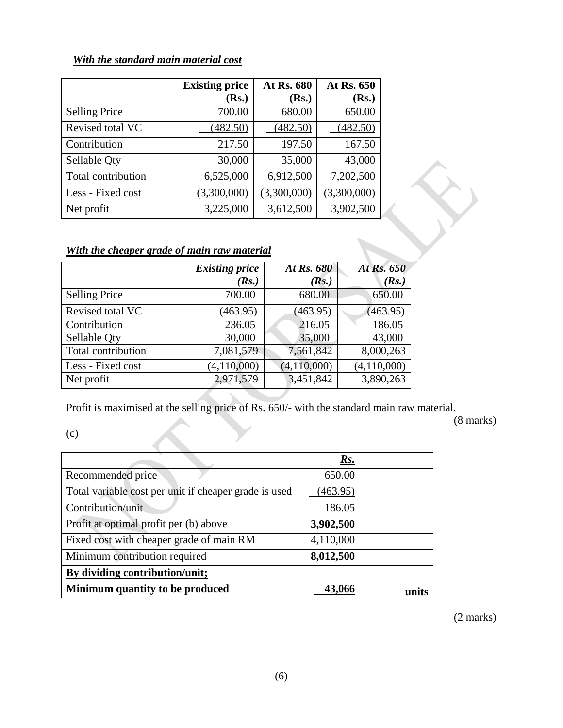## *With the standard main material cost*

|                      | <b>Existing price</b> | At Rs. 680  | At Rs. 650  |
|----------------------|-----------------------|-------------|-------------|
|                      | (Rs.)                 | (Rs.)       | (Rs.)       |
| <b>Selling Price</b> | 700.00                | 680.00      | 650.00      |
| Revised total VC     | (482.50)              | (482.50)    | (482.50)    |
| Contribution         | 217.50                | 197.50      | 167.50      |
| Sellable Qty         | 30,000                | 35,000      | 43,000      |
| Total contribution   | 6,525,000             | 6,912,500   | 7,202,500   |
| Less - Fixed cost    | (3,300,000)           | (3,300,000) | (3,300,000) |
| Net profit           | 3,225,000             | 3,612,500   | 3,902,500   |

# *With the cheaper grade of main raw material*

|                      | <b>Existing price</b> | At Rs. 680    | At Rs. 650  |
|----------------------|-----------------------|---------------|-------------|
|                      | (Rs.)                 | (Rs.)         | (Rs.)       |
| <b>Selling Price</b> | 700.00                | 680.00        | 650.00      |
| Revised total VC     | (463.95)              | (463.95)      | (463.95)    |
| Contribution         | 236.05                | 216.05        | 186.05      |
| Sellable Oty         | 30,000                | 35,000        | 43,000      |
| Total contribution   | 7,081,579             | 7,561,842     | 8,000,263   |
| Less - Fixed cost    | (4,110,000)           | (4, 110, 000) | (4,110,000) |
| Net profit           | 2,971,579             | 3,451,842     | 3,890,263   |

Profit is maximised at the selling price of Rs. 650/- with the standard main raw material.

(8 marks)

(c)

|                                                       | Rs.       |  |
|-------------------------------------------------------|-----------|--|
| Recommended price                                     | 650.00    |  |
| Total variable cost per unit if cheaper grade is used | (463.95)  |  |
| Contribution/unit                                     | 186.05    |  |
| Profit at optimal profit per (b) above                | 3,902,500 |  |
| Fixed cost with cheaper grade of main RM              | 4,110,000 |  |
| Minimum contribution required                         | 8,012,500 |  |
| By dividing contribution/unit;                        |           |  |
| Minimum quantity to be produced                       | 43.066    |  |

(2 marks)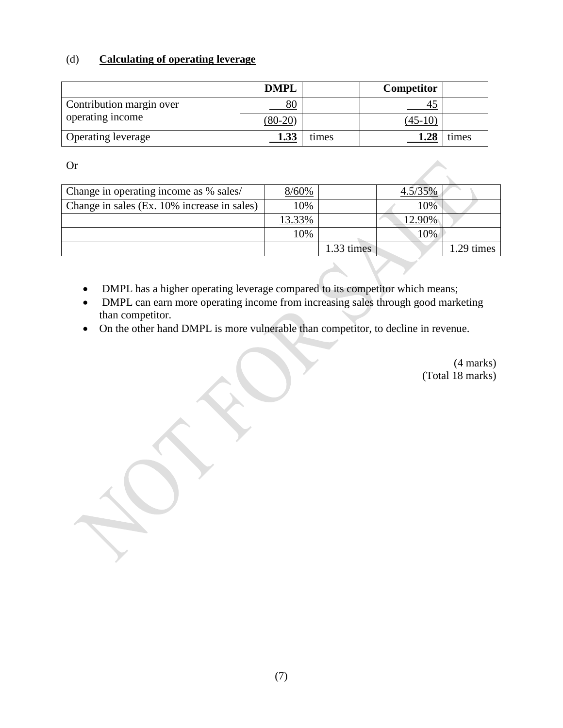#### (d) **Calculating of operating leverage**

|                           | <b>DMPL</b> |       | Competitor |       |
|---------------------------|-------------|-------|------------|-------|
| Contribution margin over  | 80          |       |            |       |
| operating income          | $(80-20)$   |       | $(45-10)$  |       |
| <b>Operating leverage</b> | 1.33        | times | 1.28       | times |

Or

| Change in operating income as % sales/      | 8/60%  |            | $4.5/35\%$ |           |
|---------------------------------------------|--------|------------|------------|-----------|
| Change in sales (Ex. 10% increase in sales) | 10%    |            | 10%        |           |
|                                             | 13.33% |            | 12.90%     |           |
|                                             | 10%    |            | 10%        |           |
|                                             |        | 1.33 times |            | .29 times |

- DMPL has a higher operating leverage compared to its competitor which means;
- DMPL can earn more operating income from increasing sales through good marketing than competitor.
- On the other hand DMPL is more vulnerable than competitor, to decline in revenue.

(4 marks) (Total 18 marks)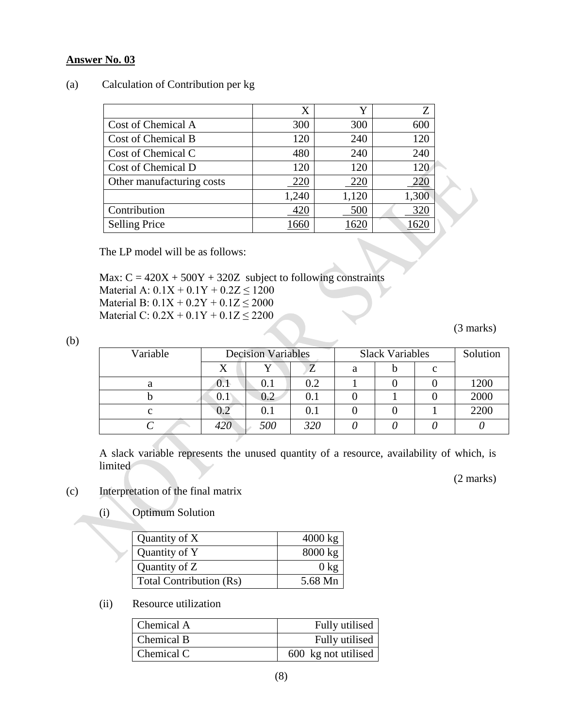#### **Answer No. 03**

#### (a) Calculation of Contribution per kg

|                           | X     | v     | Z     |  |
|---------------------------|-------|-------|-------|--|
| Cost of Chemical A        | 300   | 300   | 600   |  |
| Cost of Chemical B        | 120   | 240   | 120   |  |
| Cost of Chemical C        | 480   | 240   | 240   |  |
| Cost of Chemical D        | 120   | 120   | 120   |  |
| Other manufacturing costs | 220   | 220   | 220   |  |
|                           | 1,240 | 1,120 | 1,300 |  |
| Contribution              | 420   | 500   | 320   |  |
| <b>Selling Price</b>      | 660   | 62    |       |  |

The LP model will be as follows:

Max:  $C = 420X + 500Y + 320Z$  subject to following constraints Material A:  $0.1X + 0.1Y + 0.2Z \le 1200$ Material B:  $0.1X + 0.2Y + 0.1Z \le 2000$ Material C:  $0.2X + 0.1Y + 0.1Z \le 2200$ 

(3 marks)

| ٦<br>I<br>M.<br>۰. |  |
|--------------------|--|
|                    |  |

| Variable | <b>Decision Variables</b> |           |     | <b>Slack Variables</b> | Solution |        |      |
|----------|---------------------------|-----------|-----|------------------------|----------|--------|------|
|          |                           |           | Z   | а                      |          | $\sim$ |      |
| a        | U.I                       | 0.1       | 0.2 |                        |          |        | 1200 |
|          | 0. I                      | $0.2\,$   | 0.1 |                        |          |        | 2000 |
| C        | $\rm 0.2$                 | $\rm 0.1$ | 0.1 |                        |          |        | 2200 |
|          | 420                       | 500       | 320 |                        |          |        |      |

A slack variable represents the unused quantity of a resource, availability of which, is limited

(2 marks)

- (c) Interpretation of the final matrix
	- (i) Optimum Solution

| Quantity of X                  | $4000 \text{ kg}$ |
|--------------------------------|-------------------|
| Quantity of Y                  | $8000 \text{ kg}$ |
| Quantity of Z                  | $0 \text{ kg}$    |
| <b>Total Contribution (Rs)</b> | 5.68 Mn           |

(ii) Resource utilization

| Chemical A | Fully utilised      |
|------------|---------------------|
| Chemical B | Fully utilised      |
| Chemical C | 600 kg not utilised |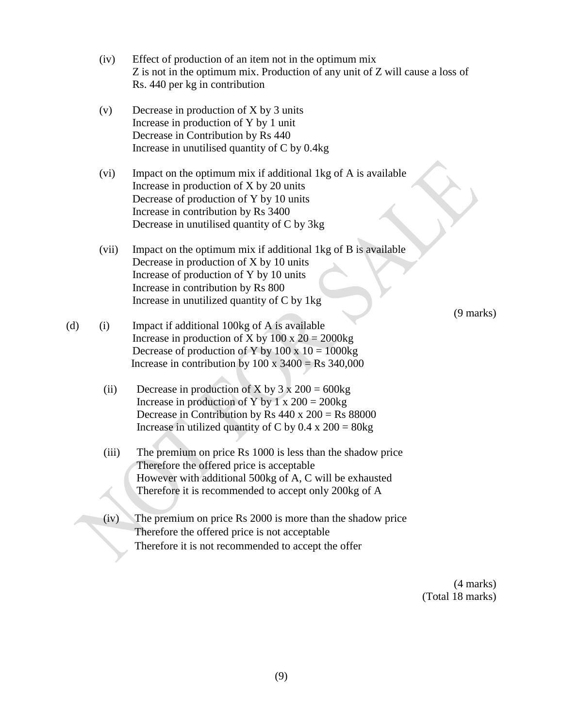|     | (iv)  | Effect of production of an item not in the optimum mix<br>Z is not in the optimum mix. Production of any unit of Z will cause a loss of<br>Rs. 440 per kg in contribution                                                                     |                     |
|-----|-------|-----------------------------------------------------------------------------------------------------------------------------------------------------------------------------------------------------------------------------------------------|---------------------|
|     | (v)   | Decrease in production of X by 3 units<br>Increase in production of Y by 1 unit<br>Decrease in Contribution by Rs 440<br>Increase in unutilised quantity of C by 0.4kg                                                                        |                     |
|     | (vi)  | Impact on the optimum mix if additional 1kg of A is available<br>Increase in production of X by 20 units<br>Decrease of production of Y by 10 units<br>Increase in contribution by Rs 3400<br>Decrease in unutilised quantity of C by 3kg     |                     |
|     | (vii) | Impact on the optimum mix if additional 1kg of B is available<br>Decrease in production of X by 10 units<br>Increase of production of Y by 10 units<br>Increase in contribution by Rs 800<br>Increase in unutilized quantity of C by 1kg      | $(9 \text{ marks})$ |
| (d) | (i)   | Impact if additional 100kg of A is available<br>Increase in production of X by $100 \times 20 = 2000$ kg<br>Decrease of production of Y by $100 \times 10 = 1000$ kg<br>Increase in contribution by $100 \times 3400 = \text{Rs } 340,000$    |                     |
|     | (ii)  | Decrease in production of X by $3 \times 200 = 600$ kg<br>Increase in production of Y by 1 x $200 = 200$ kg<br>Decrease in Contribution by Rs $440 \times 200 =$ Rs $88000$<br>Increase in utilized quantity of C by $0.4 \times 200 = 80$ kg |                     |
|     | (iii) | The premium on price Rs 1000 is less than the shadow price<br>Therefore the offered price is acceptable<br>However with additional 500kg of A, C will be exhausted<br>Therefore it is recommended to accept only 200kg of A                   |                     |
|     | (iv)  | The premium on price Rs 2000 is more than the shadow price<br>Therefore the offered price is not acceptable<br>Therefore it is not recommended to accept the offer                                                                            |                     |

(4 marks) (Total 18 marks)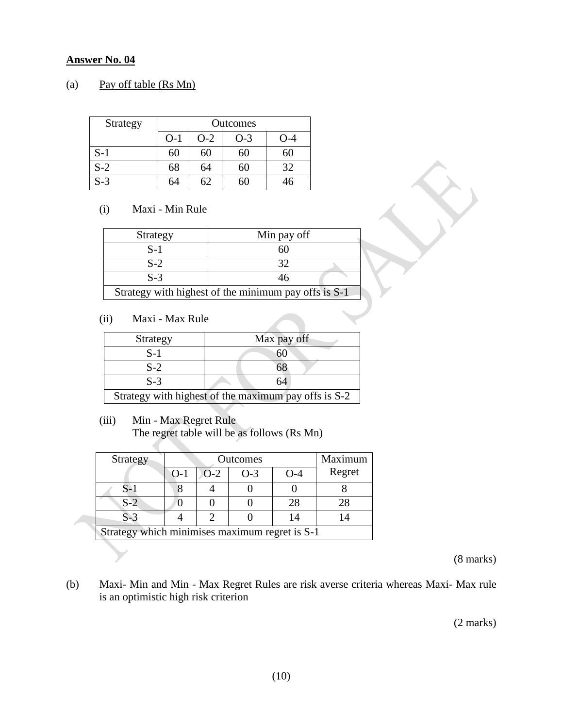#### **Answer No. 04**

#### (a) Pay off table (Rs Mn)

| Strategy |       | Outcomes |       |     |  |  |  |  |
|----------|-------|----------|-------|-----|--|--|--|--|
|          | $O-1$ | $O-2$    | $O-3$ | N-4 |  |  |  |  |
| $S-1$    | 60    | 60       | 60    |     |  |  |  |  |
| $S-2$    | 68    | 64       | 60    | 32  |  |  |  |  |
| $S-3$    | 64    | 62       | 61    | 46  |  |  |  |  |

#### (i) Maxi - Min Rule

| Strategy | Min pay off                                          |  |  |  |  |
|----------|------------------------------------------------------|--|--|--|--|
| $S-1$    |                                                      |  |  |  |  |
| $S-2$    | 32                                                   |  |  |  |  |
| $S-3$    | 46                                                   |  |  |  |  |
|          | Strategy with highest of the minimum pay offs is S-1 |  |  |  |  |

#### (ii) Maxi - Max Rule

| Strategy | Max pay off                                          |  |  |  |  |
|----------|------------------------------------------------------|--|--|--|--|
| S-1      |                                                      |  |  |  |  |
| $S-2$    | ነነ                                                   |  |  |  |  |
| $S-3$    | 64                                                   |  |  |  |  |
|          | Strategy with highest of the maximum pay offs is S-2 |  |  |  |  |

#### (iii) Min - Max Regret Rule

 $\mathcal{L}(\mathcal{A})$ 

 $\blacksquare$ 

The regret table will be as follows (Rs Mn)

| Strategy                                       |       | Outcomes | Maximum |       |        |  |  |
|------------------------------------------------|-------|----------|---------|-------|--------|--|--|
|                                                | $O-1$ | $O-2$    | $O-3$   | $O-4$ | Regret |  |  |
| $S-1$                                          |       |          |         |       |        |  |  |
| $S-2$                                          |       |          |         | 28    | 28     |  |  |
| $S-3$                                          |       |          |         |       |        |  |  |
| Strategy which minimises maximum regret is S-1 |       |          |         |       |        |  |  |

(8 marks)

(b) Maxi- Min and Min - Max Regret Rules are risk averse criteria whereas Maxi- Max rule is an optimistic high risk criterion

(2 marks)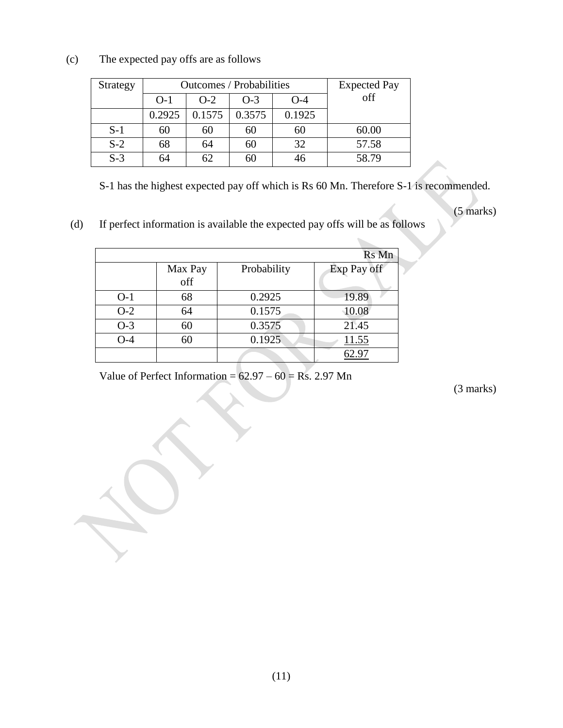| Strategy |        | Outcomes / Probabilities | <b>Expected Pay</b> |        |       |
|----------|--------|--------------------------|---------------------|--------|-------|
|          | $O-1$  | $O-2$                    | off                 |        |       |
|          | 0.2925 | 0.1575                   | 0.3575              | 0.1925 |       |
| $S-1$    | 60     | 60                       | 60                  | 60     | 60.00 |
| $S-2$    | 68     | 64                       | 60                  | 32     | 57.58 |
| $S-3$    | 64     | 62                       | 60                  |        | 58.79 |

(c) The expected pay offs are as follows

S-1 has the highest expected pay off which is Rs 60 Mn. Therefore S-1 is recommended.

(5 marks)

(d) If perfect information is available the expected pay offs will be as follows

|       |         |             | Rs Mn       |
|-------|---------|-------------|-------------|
|       | Max Pay | Probability | Exp Pay off |
|       | off     |             |             |
| $O-1$ | 68      | 0.2925      | 19.89       |
| $O-2$ | 64      | 0.1575      | 10.08       |
| $O-3$ | 60      | 0.3575      | 21.45       |
| $O-4$ | 60      | 0.1925      | 11.55       |
|       |         |             | 52.97       |

Value of Perfect Information =  $62.97 - 60 =$  Rs. 2.97 Mn

(3 marks)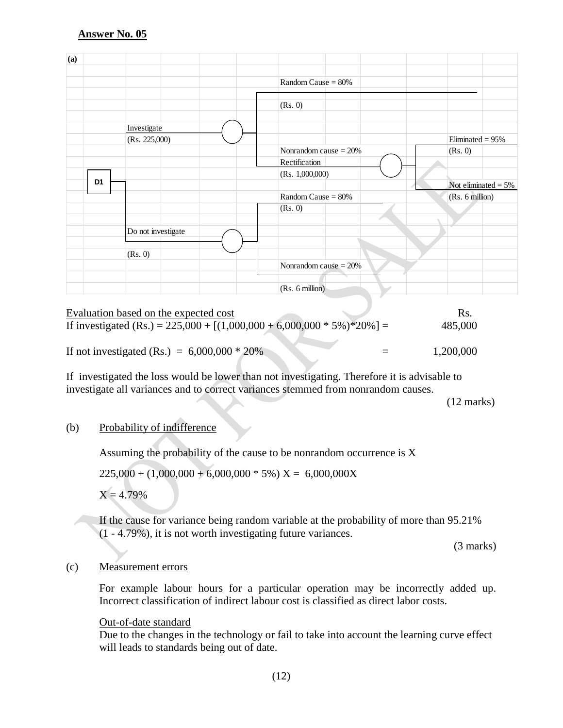| (a) |                |                    |                         |                        |
|-----|----------------|--------------------|-------------------------|------------------------|
|     |                |                    | Random Cause $= 80\%$   |                        |
|     |                |                    | (Rs. 0)                 |                        |
|     |                | Investigate        |                         |                        |
|     |                | (Rs. 225,000)      |                         | Eliminated = $95%$     |
|     |                |                    | Nonrandom cause $= 20%$ | (Rs. 0)                |
|     |                |                    | Rectification           |                        |
|     |                |                    | (Rs. 1,000,000)         |                        |
|     | D <sub>1</sub> |                    |                         | Not eliminated = $5\%$ |
|     |                |                    | Random Cause $= 80\%$   | (Rs. 6 million)        |
|     |                |                    | (Rs. 0)                 |                        |
|     |                |                    |                         |                        |
|     |                | Do not investigate |                         |                        |
|     |                | (Rs. 0)            |                         |                        |
|     |                |                    | Nonrandom cause $= 20%$ |                        |
|     |                |                    | (Rs. 6 million)         |                        |
|     |                |                    |                         |                        |

| Evaluation based on the expected cost                                        | RS.       |
|------------------------------------------------------------------------------|-----------|
| If investigated (Rs.) = $225,000 + [(1,000,000 + 6,000,000 * 5\%) * 20\%] =$ | 485,000   |
|                                                                              |           |
| If not investigated (Rs.) = $6,000,000 * 20\%$                               | 1,200,000 |

If investigated the loss would be lower than not investigating. Therefore it is advisable to investigate all variances and to correct variances stemmed from nonrandom causes.

(12 marks)

#### (b) Probability of indifference

Assuming the probability of the cause to be nonrandom occurrence is X

 $225,000 + (1,000,000 + 6,000,000 * 5%) X = 6,000,000X$ 

 $X = 4.79%$ 

If the cause for variance being random variable at the probability of more than 95.21% (1 - 4.79%), it is not worth investigating future variances.

(3 marks)

#### (c) Measurement errors

For example labour hours for a particular operation may be incorrectly added up. Incorrect classification of indirect labour cost is classified as direct labor costs.

#### Out-of-date standard

Due to the changes in the technology or fail to take into account the learning curve effect will leads to standards being out of date.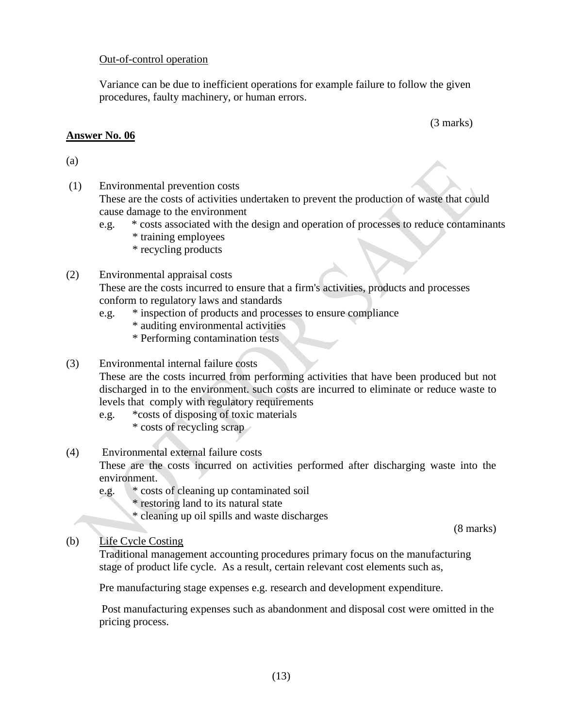#### Out-of-control operation

Variance can be due to inefficient operations for example failure to follow the given procedures, faulty machinery, or human errors.

#### **Answer No. 06**

(3 marks)

#### (a)

- (1) Environmental prevention costs These are the costs of activities undertaken to prevent the production of waste that could cause damage to the environment
	- e.g. \* costs associated with the design and operation of processes to reduce contaminants \* training employees
		- \* recycling products

#### (2) Environmental appraisal costs

These are the costs incurred to ensure that a firm's activities, products and processes conform to regulatory laws and standards

- e.g. \* inspection of products and processes to ensure compliance
	- \* auditing environmental activities
	- \* Performing contamination tests

#### (3) Environmental internal failure costs

These are the costs incurred from performing activities that have been produced but not discharged in to the environment. such costs are incurred to eliminate or reduce waste to levels that comply with regulatory requirements

- e.g. \*costs of disposing of toxic materials
	- \* costs of recycling scrap

#### (4) Environmental external failure costs

These are the costs incurred on activities performed after discharging waste into the environment.

- e.g. \* costs of cleaning up contaminated soil
	- \* restoring land to its natural state
	- \* cleaning up oil spills and waste discharges

(8 marks)

#### (b) Life Cycle Costing

Traditional management accounting procedures primary focus on the manufacturing stage of product life cycle. As a result, certain relevant cost elements such as,

Pre manufacturing stage expenses e.g. research and development expenditure.

Post manufacturing expenses such as abandonment and disposal cost were omitted in the pricing process.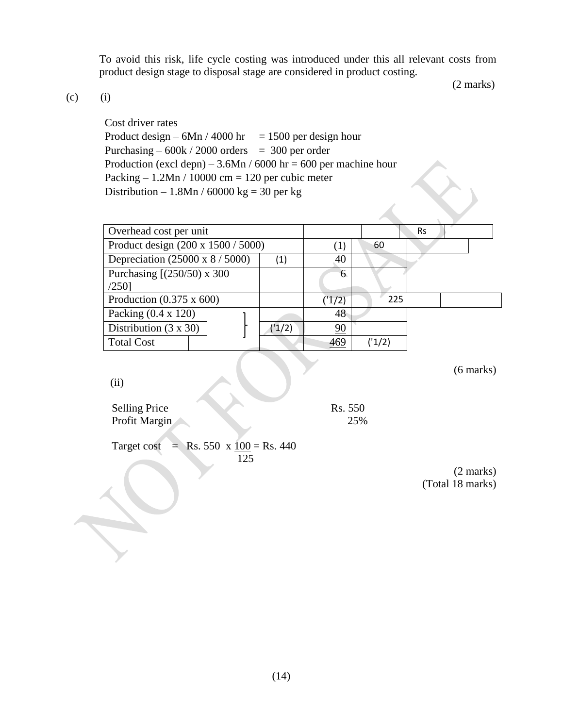To avoid this risk, life cycle costing was introduced under this all relevant costs from product design stage to disposal stage are considered in product costing.

(2 marks)

 $(c)$  (i)

Cost driver rates Product design –  $6Mn / 4000$  hr = 1500 per design hour Purchasing  $-600k/2000$  orders = 300 per order Production (excl depn) –  $3.6Mn / 6000$  hr = 600 per machine hour Packing  $-1.2Mn / 10000$  cm = 120 per cubic meter Distribution – 1.8Mn / 60000 kg = 30 per kg

| Overhead cost per unit                 |  |       |                  |        | <b>Rs</b> |  |
|----------------------------------------|--|-------|------------------|--------|-----------|--|
| Product design (200 x 1500 / 5000)     |  |       | $\left(1\right)$ | 60     |           |  |
| Depreciation $(25000 \times 8 / 5000)$ |  | (1)   | 40               |        |           |  |
| Purchasing $[(250/50) \times 300]$     |  |       |                  |        |           |  |
| $/250$ ]                               |  |       |                  |        |           |  |
| Production $(0.375 \times 600)$        |  |       | (1/2)            | 225    |           |  |
| Packing $(0.4 \times 120)$             |  |       | 48               |        |           |  |
| Distribution $(3 \times 30)$           |  | (1/2) | 90               |        |           |  |
| <b>Total Cost</b>                      |  |       | 469              | ('1/2) |           |  |

(6 marks)

(ii)

Selling Price Rs. 550 Profit Margin 25%

 $\mathcal{A}$ 

Target cost = Rs. 550 x  $\frac{100}{8}$  = Rs. 440 125

> (2 marks) (Total 18 marks)